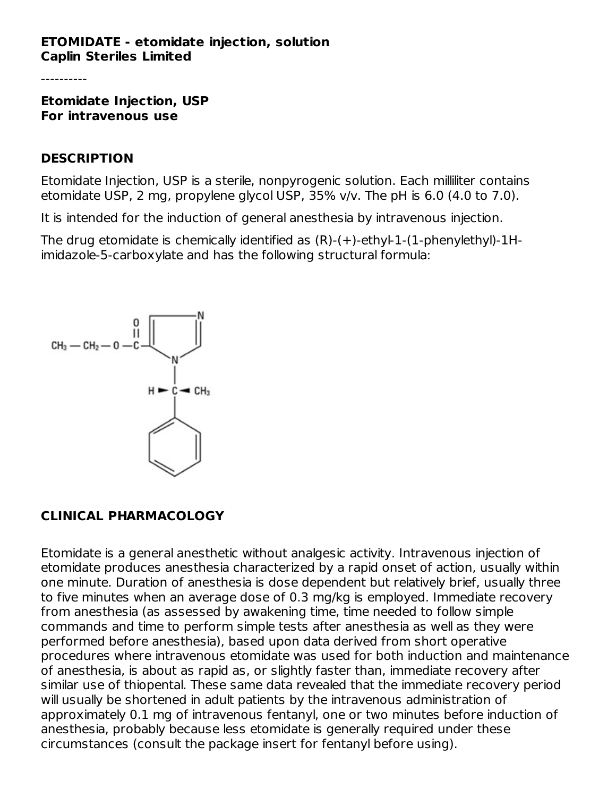### **ETOMIDATE - etomidate injection, solution Caplin Steriles Limited**

**Etomidate Injection, USP For intravenous use**

#### **DESCRIPTION**

Etomidate Injection, USP is a sterile, nonpyrogenic solution. Each milliliter contains etomidate USP, 2 mg, propylene glycol USP, 35% v/v. The pH is 6.0 (4.0 to 7.0).

It is intended for the induction of general anesthesia by intravenous injection.

The drug etomidate is chemically identified as (R)-(+)-ethyl-1-(1-phenylethyl)-1Himidazole-5-carboxylate and has the following structural formula:



### **CLINICAL PHARMACOLOGY**

Etomidate is a general anesthetic without analgesic activity. Intravenous injection of etomidate produces anesthesia characterized by a rapid onset of action, usually within one minute. Duration of anesthesia is dose dependent but relatively brief, usually three to five minutes when an average dose of 0.3 mg/kg is employed. Immediate recovery from anesthesia (as assessed by awakening time, time needed to follow simple commands and time to perform simple tests after anesthesia as well as they were performed before anesthesia), based upon data derived from short operative procedures where intravenous etomidate was used for both induction and maintenance of anesthesia, is about as rapid as, or slightly faster than, immediate recovery after similar use of thiopental. These same data revealed that the immediate recovery period will usually be shortened in adult patients by the intravenous administration of approximately 0.1 mg of intravenous fentanyl, one or two minutes before induction of anesthesia, probably because less etomidate is generally required under these circumstances (consult the package insert for fentanyl before using).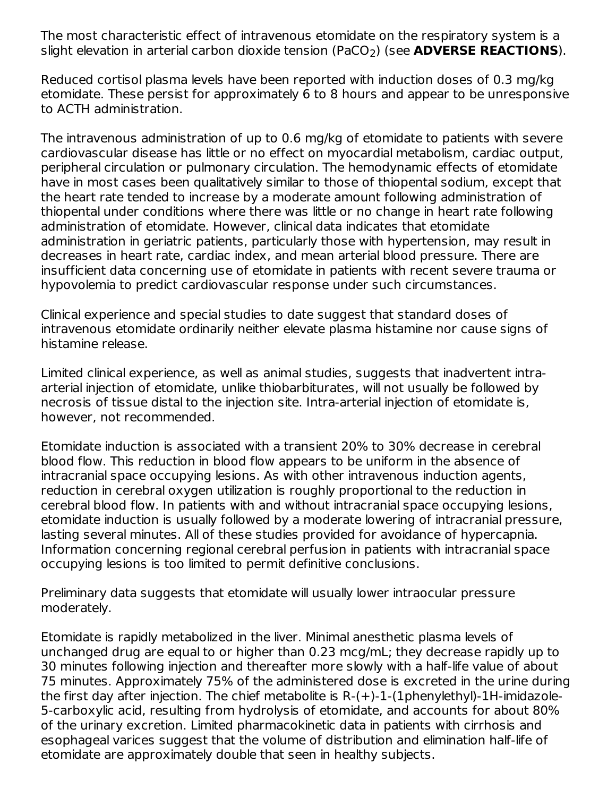The most characteristic effect of intravenous etomidate on the respiratory system is a slight elevation in arterial carbon dioxide tension (PaCO<sub>2</sub>) (see **ADVERSE REACTIONS**).

Reduced cortisol plasma levels have been reported with induction doses of 0.3 mg/kg etomidate. These persist for approximately 6 to 8 hours and appear to be unresponsive to ACTH administration.

The intravenous administration of up to 0.6 mg/kg of etomidate to patients with severe cardiovascular disease has little or no effect on myocardial metabolism, cardiac output, peripheral circulation or pulmonary circulation. The hemodynamic effects of etomidate have in most cases been qualitatively similar to those of thiopental sodium, except that the heart rate tended to increase by a moderate amount following administration of thiopental under conditions where there was little or no change in heart rate following administration of etomidate. However, clinical data indicates that etomidate administration in geriatric patients, particularly those with hypertension, may result in decreases in heart rate, cardiac index, and mean arterial blood pressure. There are insufficient data concerning use of etomidate in patients with recent severe trauma or hypovolemia to predict cardiovascular response under such circumstances.

Clinical experience and special studies to date suggest that standard doses of intravenous etomidate ordinarily neither elevate plasma histamine nor cause signs of histamine release.

Limited clinical experience, as well as animal studies, suggests that inadvertent intraarterial injection of etomidate, unlike thiobarbiturates, will not usually be followed by necrosis of tissue distal to the injection site. Intra-arterial injection of etomidate is, however, not recommended.

Etomidate induction is associated with a transient 20% to 30% decrease in cerebral blood flow. This reduction in blood flow appears to be uniform in the absence of intracranial space occupying lesions. As with other intravenous induction agents, reduction in cerebral oxygen utilization is roughly proportional to the reduction in cerebral blood flow. In patients with and without intracranial space occupying lesions, etomidate induction is usually followed by a moderate lowering of intracranial pressure, lasting several minutes. All of these studies provided for avoidance of hypercapnia. Information concerning regional cerebral perfusion in patients with intracranial space occupying lesions is too limited to permit definitive conclusions.

Preliminary data suggests that etomidate will usually lower intraocular pressure moderately.

Etomidate is rapidly metabolized in the liver. Minimal anesthetic plasma levels of unchanged drug are equal to or higher than 0.23 mcg/mL; they decrease rapidly up to 30 minutes following injection and thereafter more slowly with a half-life value of about 75 minutes. Approximately 75% of the administered dose is excreted in the urine during the first day after injection. The chief metabolite is R-(+)-1-(1phenylethyl)-1H-imidazole-5-carboxylic acid, resulting from hydrolysis of etomidate, and accounts for about 80% of the urinary excretion. Limited pharmacokinetic data in patients with cirrhosis and esophageal varices suggest that the volume of distribution and elimination half-life of etomidate are approximately double that seen in healthy subjects.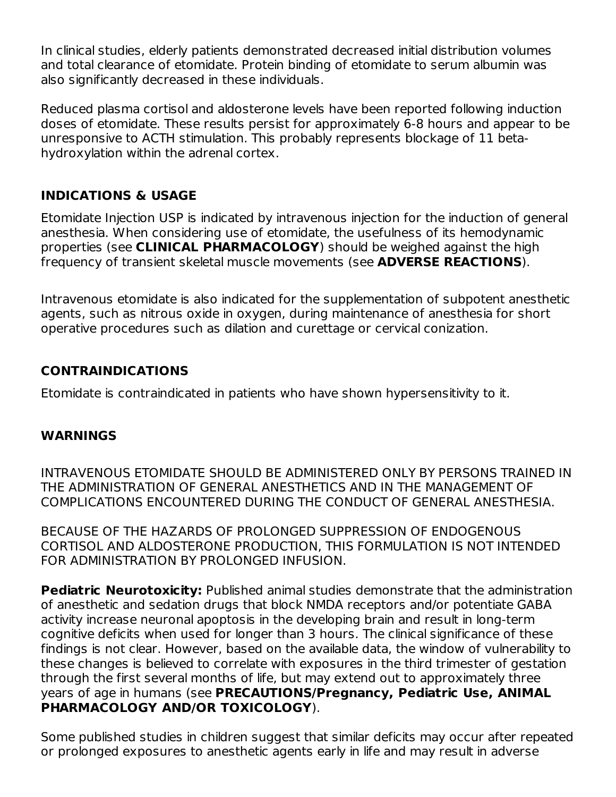In clinical studies, elderly patients demonstrated decreased initial distribution volumes and total clearance of etomidate. Protein binding of etomidate to serum albumin was also significantly decreased in these individuals.

Reduced plasma cortisol and aldosterone levels have been reported following induction doses of etomidate. These results persist for approximately 6-8 hours and appear to be unresponsive to ACTH stimulation. This probably represents blockage of 11 betahydroxylation within the adrenal cortex.

## **INDICATIONS & USAGE**

Etomidate Injection USP is indicated by intravenous injection for the induction of general anesthesia. When considering use of etomidate, the usefulness of its hemodynamic properties (see **CLINICAL PHARMACOLOGY**) should be weighed against the high frequency of transient skeletal muscle movements (see **ADVERSE REACTIONS**).

Intravenous etomidate is also indicated for the supplementation of subpotent anesthetic agents, such as nitrous oxide in oxygen, during maintenance of anesthesia for short operative procedures such as dilation and curettage or cervical conization.

## **CONTRAINDICATIONS**

Etomidate is contraindicated in patients who have shown hypersensitivity to it.

## **WARNINGS**

INTRAVENOUS ETOMIDATE SHOULD BE ADMINISTERED ONLY BY PERSONS TRAINED IN THE ADMINISTRATION OF GENERAL ANESTHETICS AND IN THE MANAGEMENT OF COMPLICATIONS ENCOUNTERED DURING THE CONDUCT OF GENERAL ANESTHESIA.

BECAUSE OF THE HAZARDS OF PROLONGED SUPPRESSION OF ENDOGENOUS CORTISOL AND ALDOSTERONE PRODUCTION, THIS FORMULATION IS NOT INTENDED FOR ADMINISTRATION BY PROLONGED INFUSION.

**Pediatric Neurotoxicity:** Published animal studies demonstrate that the administration of anesthetic and sedation drugs that block NMDA receptors and/or potentiate GABA activity increase neuronal apoptosis in the developing brain and result in long-term cognitive deficits when used for longer than 3 hours. The clinical significance of these findings is not clear. However, based on the available data, the window of vulnerability to these changes is believed to correlate with exposures in the third trimester of gestation through the first several months of life, but may extend out to approximately three years of age in humans (see **PRECAUTIONS/Pregnancy, Pediatric Use, ANIMAL PHARMACOLOGY AND/OR TOXICOLOGY**).

Some published studies in children suggest that similar deficits may occur after repeated or prolonged exposures to anesthetic agents early in life and may result in adverse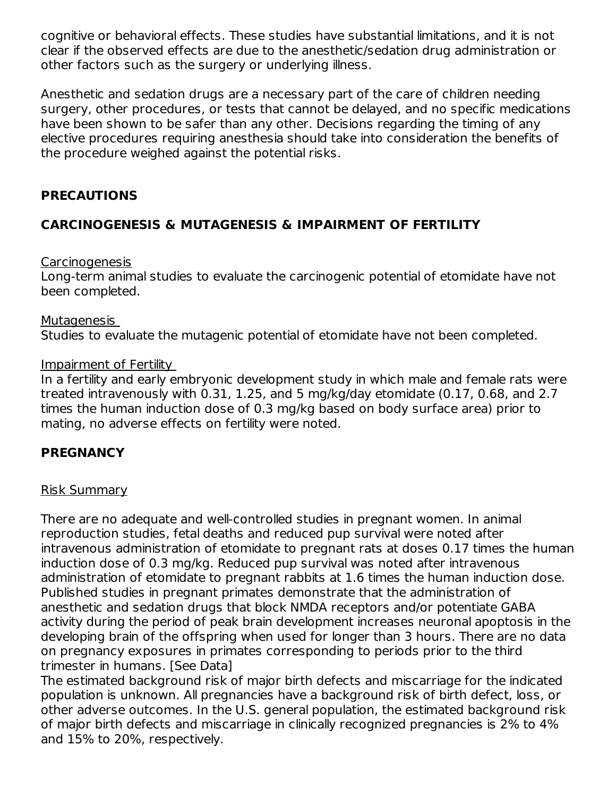cognitive or behavioral effects. These studies have substantial limitations, and it is not clear if the observed effects are due to the anesthetic/sedation drug administration or other factors such as the surgery or underlying illness.

Anesthetic and sedation drugs are a necessary part of the care of children needing surgery, other procedures, or tests that cannot be delayed, and no specific medications have been shown to be safer than any other. Decisions regarding the timing of any elective procedures requiring anesthesia should take into consideration the benefits of the procedure weighed against the potential risks.

## **PRECAUTIONS**

## **CARCINOGENESIS & MUTAGENESIS & IMPAIRMENT OF FERTILITY**

### **Carcinogenesis**

Long-term animal studies to evaluate the carcinogenic potential of etomidate have not been completed.

### Mutagenesis

Studies to evaluate the mutagenic potential of etomidate have not been completed.

### Impairment of Fertility

In a fertility and early embryonic development study in which male and female rats were treated intravenously with 0.31, 1.25, and 5 mg/kg/day etomidate (0.17, 0.68, and 2.7 times the human induction dose of 0.3 mg/kg based on body surface area) prior to mating, no adverse effects on fertility were noted.

## **PREGNANCY**

### Risk Summary

There are no adequate and well-controlled studies in pregnant women. In animal reproduction studies, fetal deaths and reduced pup survival were noted after intravenous administration of etomidate to pregnant rats at doses 0.17 times the human induction dose of 0.3 mg/kg. Reduced pup survival was noted after intravenous administration of etomidate to pregnant rabbits at 1.6 times the human induction dose. Published studies in pregnant primates demonstrate that the administration of anesthetic and sedation drugs that block NMDA receptors and/or potentiate GABA activity during the period of peak brain development increases neuronal apoptosis in the developing brain of the offspring when used for longer than 3 hours. There are no data on pregnancy exposures in primates corresponding to periods prior to the third trimester in humans. [See Data]

The estimated background risk of major birth defects and miscarriage for the indicated population is unknown. All pregnancies have a background risk of birth defect, loss, or other adverse outcomes. In the U.S. general population, the estimated background risk of major birth defects and miscarriage in clinically recognized pregnancies is 2% to 4% and 15% to 20%, respectively.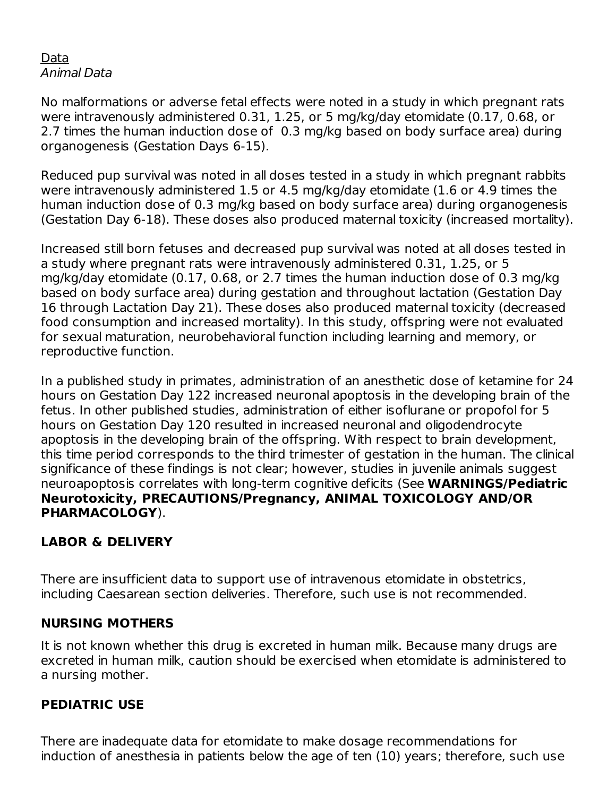### Data Animal Data

No malformations or adverse fetal effects were noted in a study in which pregnant rats were intravenously administered 0.31, 1.25, or 5 mg/kg/day etomidate (0.17, 0.68, or 2.7 times the human induction dose of 0.3 mg/kg based on body surface area) during organogenesis (Gestation Days 6-15).

Reduced pup survival was noted in all doses tested in a study in which pregnant rabbits were intravenously administered 1.5 or 4.5 mg/kg/day etomidate (1.6 or 4.9 times the human induction dose of 0.3 mg/kg based on body surface area) during organogenesis (Gestation Day 6-18). These doses also produced maternal toxicity (increased mortality).

Increased still born fetuses and decreased pup survival was noted at all doses tested in a study where pregnant rats were intravenously administered 0.31, 1.25, or 5 mg/kg/day etomidate (0.17, 0.68, or 2.7 times the human induction dose of 0.3 mg/kg based on body surface area) during gestation and throughout lactation (Gestation Day 16 through Lactation Day 21). These doses also produced maternal toxicity (decreased food consumption and increased mortality). In this study, offspring were not evaluated for sexual maturation, neurobehavioral function including learning and memory, or reproductive function.

In a published study in primates, administration of an anesthetic dose of ketamine for 24 hours on Gestation Day 122 increased neuronal apoptosis in the developing brain of the fetus. In other published studies, administration of either isoflurane or propofol for 5 hours on Gestation Day 120 resulted in increased neuronal and oligodendrocyte apoptosis in the developing brain of the offspring. With respect to brain development, this time period corresponds to the third trimester of gestation in the human. The clinical significance of these findings is not clear; however, studies in juvenile animals suggest neuroapoptosis correlates with long-term cognitive deficits (See **WARNINGS/Pediatric Neurotoxicity, PRECAUTIONS/Pregnancy, ANIMAL TOXICOLOGY AND/OR PHARMACOLOGY**).

## **LABOR & DELIVERY**

There are insufficient data to support use of intravenous etomidate in obstetrics, including Caesarean section deliveries. Therefore, such use is not recommended.

### **NURSING MOTHERS**

It is not known whether this drug is excreted in human milk. Because many drugs are excreted in human milk, caution should be exercised when etomidate is administered to a nursing mother.

### **PEDIATRIC USE**

There are inadequate data for etomidate to make dosage recommendations for induction of anesthesia in patients below the age of ten (10) years; therefore, such use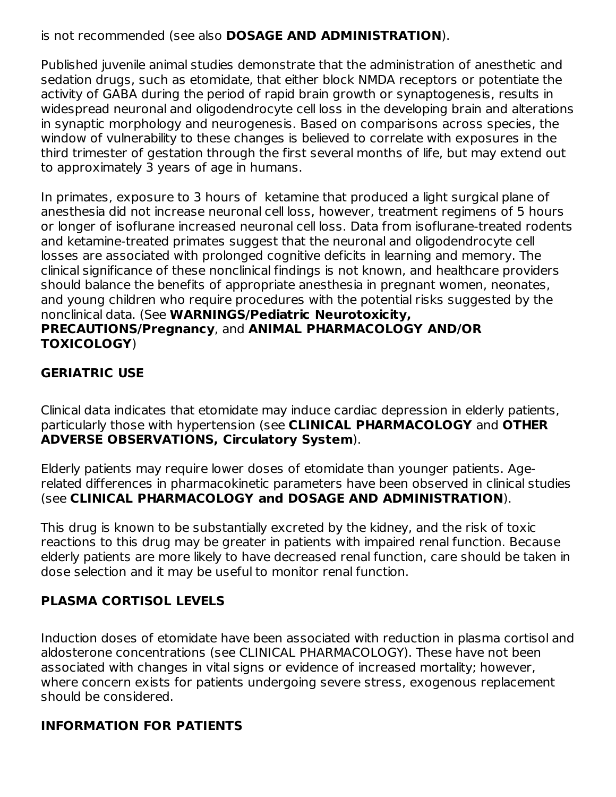is not recommended (see also **DOSAGE AND ADMINISTRATION**).

Published juvenile animal studies demonstrate that the administration of anesthetic and sedation drugs, such as etomidate, that either block NMDA receptors or potentiate the activity of GABA during the period of rapid brain growth or synaptogenesis, results in widespread neuronal and oligodendrocyte cell loss in the developing brain and alterations in synaptic morphology and neurogenesis. Based on comparisons across species, the window of vulnerability to these changes is believed to correlate with exposures in the third trimester of gestation through the first several months of life, but may extend out to approximately 3 years of age in humans.

In primates, exposure to 3 hours of ketamine that produced a light surgical plane of anesthesia did not increase neuronal cell loss, however, treatment regimens of 5 hours or longer of isoflurane increased neuronal cell loss. Data from isoflurane-treated rodents and ketamine-treated primates suggest that the neuronal and oligodendrocyte cell losses are associated with prolonged cognitive deficits in learning and memory. The clinical significance of these nonclinical findings is not known, and healthcare providers should balance the benefits of appropriate anesthesia in pregnant women, neonates, and young children who require procedures with the potential risks suggested by the nonclinical data. (See **WARNINGS/Pediatric Neurotoxicity, PRECAUTIONS/Pregnancy**, and **ANIMAL PHARMACOLOGY AND/OR TOXICOLOGY**)

## **GERIATRIC USE**

Clinical data indicates that etomidate may induce cardiac depression in elderly patients, particularly those with hypertension (see **CLINICAL PHARMACOLOGY** and **OTHER ADVERSE OBSERVATIONS, Circulatory System**).

Elderly patients may require lower doses of etomidate than younger patients. Agerelated differences in pharmacokinetic parameters have been observed in clinical studies (see **CLINICAL PHARMACOLOGY and DOSAGE AND ADMINISTRATION**).

This drug is known to be substantially excreted by the kidney, and the risk of toxic reactions to this drug may be greater in patients with impaired renal function. Because elderly patients are more likely to have decreased renal function, care should be taken in dose selection and it may be useful to monitor renal function.

## **PLASMA CORTISOL LEVELS**

Induction doses of etomidate have been associated with reduction in plasma cortisol and aldosterone concentrations (see CLINICAL PHARMACOLOGY). These have not been associated with changes in vital signs or evidence of increased mortality; however, where concern exists for patients undergoing severe stress, exogenous replacement should be considered.

## **INFORMATION FOR PATIENTS**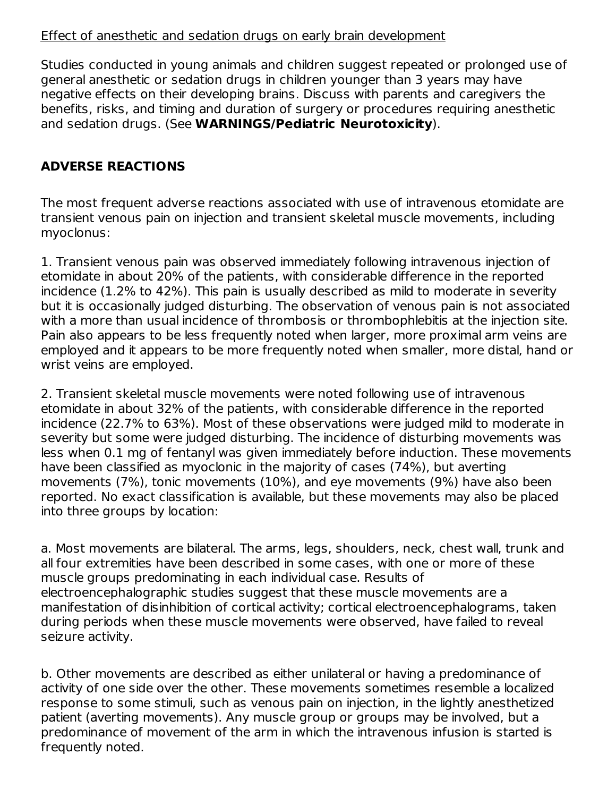### Effect of anesthetic and sedation drugs on early brain development

Studies conducted in young animals and children suggest repeated or prolonged use of general anesthetic or sedation drugs in children younger than 3 years may have negative effects on their developing brains. Discuss with parents and caregivers the benefits, risks, and timing and duration of surgery or procedures requiring anesthetic and sedation drugs. (See **WARNINGS/Pediatric Neurotoxicity**).

## **ADVERSE REACTIONS**

The most frequent adverse reactions associated with use of intravenous etomidate are transient venous pain on injection and transient skeletal muscle movements, including myoclonus:

1. Transient venous pain was observed immediately following intravenous injection of etomidate in about 20% of the patients, with considerable difference in the reported incidence (1.2% to 42%). This pain is usually described as mild to moderate in severity but it is occasionally judged disturbing. The observation of venous pain is not associated with a more than usual incidence of thrombosis or thrombophlebitis at the injection site. Pain also appears to be less frequently noted when larger, more proximal arm veins are employed and it appears to be more frequently noted when smaller, more distal, hand or wrist veins are employed.

2. Transient skeletal muscle movements were noted following use of intravenous etomidate in about 32% of the patients, with considerable difference in the reported incidence (22.7% to 63%). Most of these observations were judged mild to moderate in severity but some were judged disturbing. The incidence of disturbing movements was less when 0.1 mg of fentanyl was given immediately before induction. These movements have been classified as myoclonic in the majority of cases (74%), but averting movements (7%), tonic movements (10%), and eye movements (9%) have also been reported. No exact classification is available, but these movements may also be placed into three groups by location:

a. Most movements are bilateral. The arms, legs, shoulders, neck, chest wall, trunk and all four extremities have been described in some cases, with one or more of these muscle groups predominating in each individual case. Results of electroencephalographic studies suggest that these muscle movements are a manifestation of disinhibition of cortical activity; cortical electroencephalograms, taken during periods when these muscle movements were observed, have failed to reveal seizure activity.

b. Other movements are described as either unilateral or having a predominance of activity of one side over the other. These movements sometimes resemble a localized response to some stimuli, such as venous pain on injection, in the lightly anesthetized patient (averting movements). Any muscle group or groups may be involved, but a predominance of movement of the arm in which the intravenous infusion is started is frequently noted.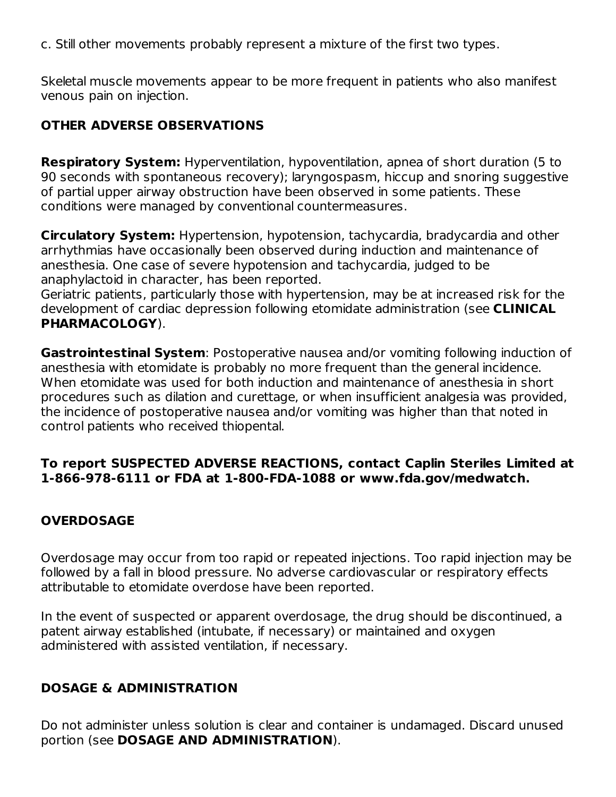c. Still other movements probably represent a mixture of the first two types.

Skeletal muscle movements appear to be more frequent in patients who also manifest venous pain on injection.

### **OTHER ADVERSE OBSERVATIONS**

**Respiratory System:** Hyperventilation, hypoventilation, apnea of short duration (5 to 90 seconds with spontaneous recovery); laryngospasm, hiccup and snoring suggestive of partial upper airway obstruction have been observed in some patients. These conditions were managed by conventional countermeasures.

**Circulatory System:** Hypertension, hypotension, tachycardia, bradycardia and other arrhythmias have occasionally been observed during induction and maintenance of anesthesia. One case of severe hypotension and tachycardia, judged to be anaphylactoid in character, has been reported.

Geriatric patients, particularly those with hypertension, may be at increased risk for the development of cardiac depression following etomidate administration (see **CLINICAL PHARMACOLOGY**).

**Gastrointestinal System**: Postoperative nausea and/or vomiting following induction of anesthesia with etomidate is probably no more frequent than the general incidence. When etomidate was used for both induction and maintenance of anesthesia in short procedures such as dilation and curettage, or when insufficient analgesia was provided, the incidence of postoperative nausea and/or vomiting was higher than that noted in control patients who received thiopental.

### **To report SUSPECTED ADVERSE REACTIONS, contact Caplin Steriles Limited at 1-866-978-6111 or FDA at 1-800-FDA-1088 or www.fda.gov/medwatch.**

## **OVERDOSAGE**

Overdosage may occur from too rapid or repeated injections. Too rapid injection may be followed by a fall in blood pressure. No adverse cardiovascular or respiratory effects attributable to etomidate overdose have been reported.

In the event of suspected or apparent overdosage, the drug should be discontinued, a patent airway established (intubate, if necessary) or maintained and oxygen administered with assisted ventilation, if necessary.

### **DOSAGE & ADMINISTRATION**

Do not administer unless solution is clear and container is undamaged. Discard unused portion (see **DOSAGE AND ADMINISTRATION**).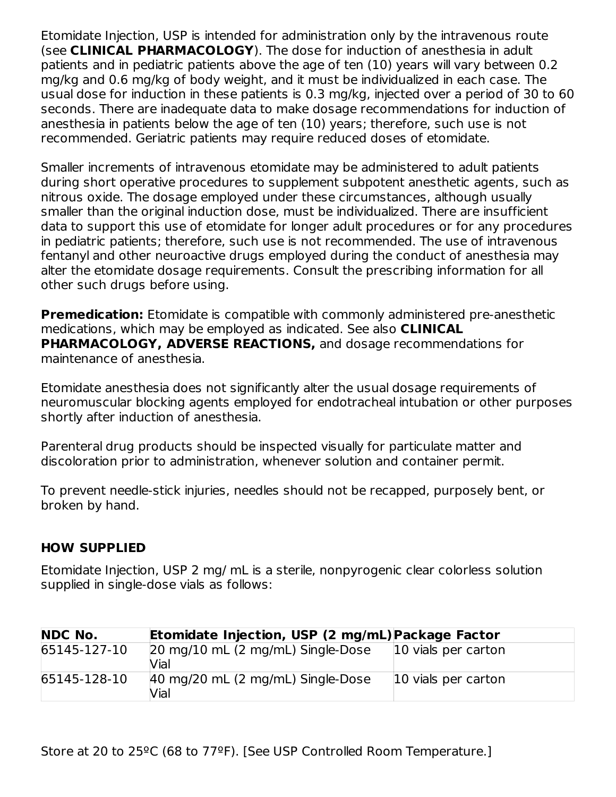Etomidate Injection, USP is intended for administration only by the intravenous route (see **CLINICAL PHARMACOLOGY**). The dose for induction of anesthesia in adult patients and in pediatric patients above the age of ten (10) years will vary between 0.2 mg/kg and 0.6 mg/kg of body weight, and it must be individualized in each case. The usual dose for induction in these patients is 0.3 mg/kg, injected over a period of 30 to 60 seconds. There are inadequate data to make dosage recommendations for induction of anesthesia in patients below the age of ten (10) years; therefore, such use is not recommended. Geriatric patients may require reduced doses of etomidate.

Smaller increments of intravenous etomidate may be administered to adult patients during short operative procedures to supplement subpotent anesthetic agents, such as nitrous oxide. The dosage employed under these circumstances, although usually smaller than the original induction dose, must be individualized. There are insufficient data to support this use of etomidate for longer adult procedures or for any procedures in pediatric patients; therefore, such use is not recommended. The use of intravenous fentanyl and other neuroactive drugs employed during the conduct of anesthesia may alter the etomidate dosage requirements. Consult the prescribing information for all other such drugs before using.

**Premedication:** Etomidate is compatible with commonly administered pre-anesthetic medications, which may be employed as indicated. See also **CLINICAL PHARMACOLOGY, ADVERSE REACTIONS,** and dosage recommendations for maintenance of anesthesia.

Etomidate anesthesia does not significantly alter the usual dosage requirements of neuromuscular blocking agents employed for endotracheal intubation or other purposes shortly after induction of anesthesia.

Parenteral drug products should be inspected visually for particulate matter and discoloration prior to administration, whenever solution and container permit.

To prevent needle-stick injuries, needles should not be recapped, purposely bent, or broken by hand.

### **HOW SUPPLIED**

Etomidate Injection, USP 2 mg/ mL is a sterile, nonpyrogenic clear colorless solution supplied in single-dose vials as follows:

| <b>NDC No.</b> | Etomidate Injection, USP (2 mg/mL) Package Factor |                     |
|----------------|---------------------------------------------------|---------------------|
| 65145-127-10   | 20 mg/10 mL (2 mg/mL) Single-Dose<br>Vial         | 10 vials per carton |
| 65145-128-10   | 40 mg/20 mL (2 mg/mL) Single-Dose<br>Vial         | 10 vials per carton |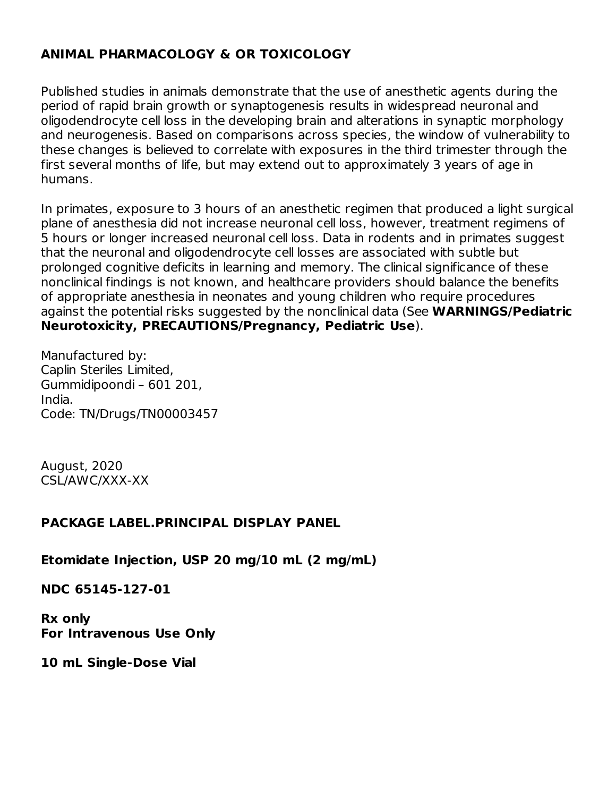## **ANIMAL PHARMACOLOGY & OR TOXICOLOGY**

Published studies in animals demonstrate that the use of anesthetic agents during the period of rapid brain growth or synaptogenesis results in widespread neuronal and oligodendrocyte cell loss in the developing brain and alterations in synaptic morphology and neurogenesis. Based on comparisons across species, the window of vulnerability to these changes is believed to correlate with exposures in the third trimester through the first several months of life, but may extend out to approximately 3 years of age in humans.

In primates, exposure to 3 hours of an anesthetic regimen that produced a light surgical plane of anesthesia did not increase neuronal cell loss, however, treatment regimens of 5 hours or longer increased neuronal cell loss. Data in rodents and in primates suggest that the neuronal and oligodendrocyte cell losses are associated with subtle but prolonged cognitive deficits in learning and memory. The clinical significance of these nonclinical findings is not known, and healthcare providers should balance the benefits of appropriate anesthesia in neonates and young children who require procedures against the potential risks suggested by the nonclinical data (See **WARNINGS/Pediatric Neurotoxicity, PRECAUTIONS/Pregnancy, Pediatric Use**).

Manufactured by: Caplin Steriles Limited, Gummidipoondi – 601 201, India. Code: TN/Drugs/TN00003457

August, 2020 CSL/AWC/XXX-XX

#### **PACKAGE LABEL.PRINCIPAL DISPLAY PANEL**

**Etomidate Injection, USP 20 mg/10 mL (2 mg/mL)**

**NDC 65145-127-01**

**Rx only For Intravenous Use Only**

**10 mL Single-Dose Vial**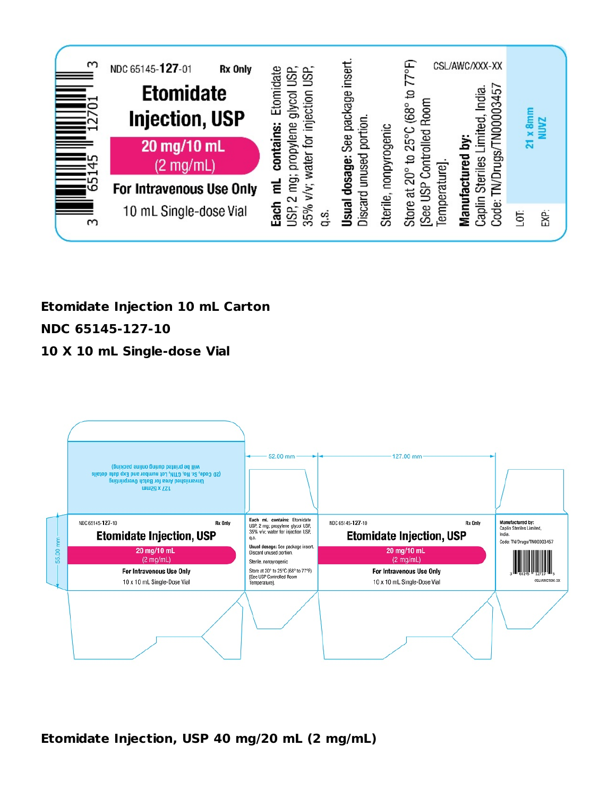

# **Etomidate Injection 10 mL Carton NDC 65145-127-10**

### **10 X 10 mL Single-dose Vial**



**Etomidate Injection, USP 40 mg/20 mL (2 mg/mL)**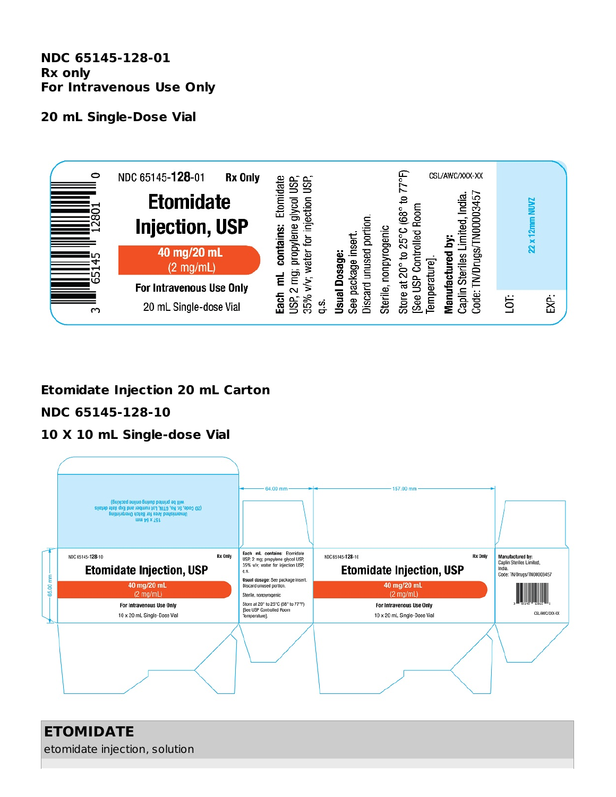**NDC 65145-128-01 Rx only For Intravenous Use Only**

#### **20 mL Single-Dose Vial**



## **Etomidate Injection 20 mL Carton**

## **NDC 65145-128-10**

### **10 X 10 mL Single-dose Vial**



# **ETOMIDATE** etomidate injection, solution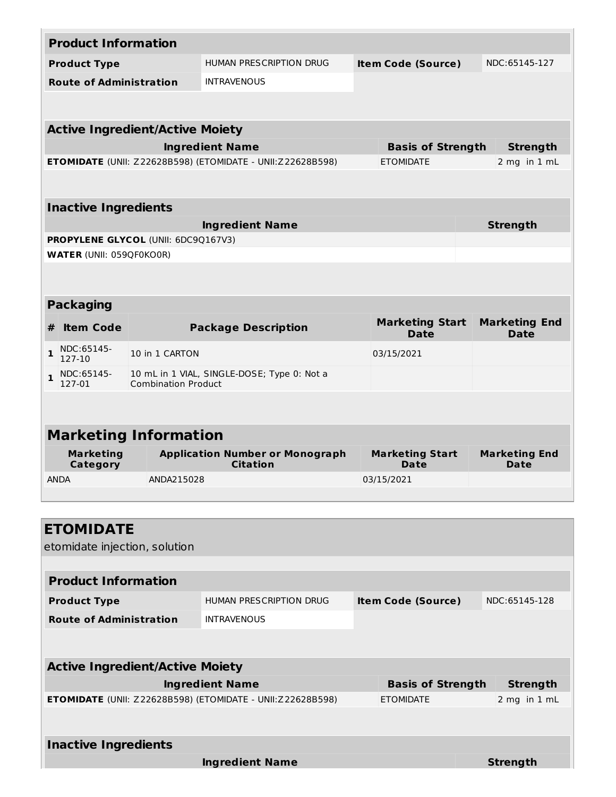| <b>Product Information</b>             |                                 |                                            |                                                                   |  |                                       |                 |                              |  |
|----------------------------------------|---------------------------------|--------------------------------------------|-------------------------------------------------------------------|--|---------------------------------------|-----------------|------------------------------|--|
|                                        | <b>Product Type</b>             |                                            | <b>HUMAN PRESCRIPTION DRUG</b>                                    |  | <b>Item Code (Source)</b>             |                 | NDC:65145-127                |  |
|                                        | <b>Route of Administration</b>  |                                            | <b>INTRAVENOUS</b>                                                |  |                                       |                 |                              |  |
|                                        |                                 |                                            |                                                                   |  |                                       |                 |                              |  |
|                                        |                                 | <b>Active Ingredient/Active Moiety</b>     |                                                                   |  |                                       |                 |                              |  |
|                                        |                                 |                                            | <b>Ingredient Name</b>                                            |  | <b>Basis of Strength</b>              |                 | <b>Strength</b>              |  |
|                                        |                                 |                                            | <b>ETOMIDATE</b> (UNII: Z22628B598) (ETOMIDATE - UNII:Z22628B598) |  | <b>ETOMIDATE</b>                      |                 | 2 mg in 1 mL                 |  |
|                                        |                                 |                                            |                                                                   |  |                                       |                 |                              |  |
|                                        | <b>Inactive Ingredients</b>     |                                            |                                                                   |  |                                       |                 |                              |  |
|                                        |                                 |                                            | <b>Ingredient Name</b>                                            |  |                                       | <b>Strength</b> |                              |  |
|                                        |                                 | <b>PROPYLENE GLYCOL (UNII: 6DC9Q167V3)</b> |                                                                   |  |                                       |                 |                              |  |
|                                        | <b>WATER (UNII: 059QF0KO0R)</b> |                                            |                                                                   |  |                                       |                 |                              |  |
|                                        |                                 |                                            |                                                                   |  |                                       |                 |                              |  |
|                                        | <b>Packaging</b>                |                                            |                                                                   |  |                                       |                 |                              |  |
|                                        |                                 |                                            |                                                                   |  | <b>Marketing Start</b>                |                 | <b>Marketing End</b>         |  |
| #                                      | <b>Item Code</b>                |                                            | <b>Package Description</b>                                        |  | <b>Date</b>                           |                 | <b>Date</b>                  |  |
| $\mathbf{1}$                           | NDC:65145-<br>127-10            | 10 in 1 CARTON                             |                                                                   |  | 03/15/2021                            |                 |                              |  |
| $\mathbf{1}$                           | NDC:65145-<br>127-01            | <b>Combination Product</b>                 | 10 mL in 1 VIAL, SINGLE-DOSE; Type 0: Not a                       |  |                                       |                 |                              |  |
|                                        |                                 |                                            |                                                                   |  |                                       |                 |                              |  |
|                                        |                                 |                                            |                                                                   |  |                                       |                 |                              |  |
|                                        |                                 | <b>Marketing Information</b>               |                                                                   |  |                                       |                 |                              |  |
|                                        | <b>Marketing</b><br>Category    |                                            | <b>Application Number or Monograph</b><br><b>Citation</b>         |  | <b>Marketing Start</b><br><b>Date</b> |                 | <b>Marketing End</b><br>Date |  |
|                                        | <b>ANDA</b>                     | ANDA215028                                 |                                                                   |  | 03/15/2021                            |                 |                              |  |
|                                        |                                 |                                            |                                                                   |  |                                       |                 |                              |  |
|                                        |                                 |                                            |                                                                   |  |                                       |                 |                              |  |
|                                        | <b>ETOMIDATE</b>                |                                            |                                                                   |  |                                       |                 |                              |  |
|                                        | etomidate injection, solution   |                                            |                                                                   |  |                                       |                 |                              |  |
|                                        |                                 |                                            |                                                                   |  |                                       |                 |                              |  |
|                                        | <b>Product Information</b>      |                                            |                                                                   |  |                                       |                 |                              |  |
|                                        | <b>Product Type</b>             |                                            | <b>HUMAN PRESCRIPTION DRUG</b>                                    |  | <b>Item Code (Source)</b>             |                 | NDC:65145-128                |  |
|                                        | <b>Route of Administration</b>  |                                            | <b>INTRAVENOUS</b>                                                |  |                                       |                 |                              |  |
|                                        |                                 |                                            |                                                                   |  |                                       |                 |                              |  |
| <b>Active Ingredient/Active Moiety</b> |                                 |                                            |                                                                   |  |                                       |                 |                              |  |
|                                        |                                 |                                            | <b>Ingredient Name</b>                                            |  | <b>Basis of Strength</b>              |                 | <b>Strength</b>              |  |
|                                        |                                 |                                            | <b>ETOMIDATE</b> (UNII: Z22628B598) (ETOMIDATE - UNII:Z22628B598) |  | <b>ETOMIDATE</b>                      |                 | 2 mg in 1 mL                 |  |
|                                        |                                 |                                            |                                                                   |  |                                       |                 |                              |  |
| <b>Inactive Ingredients</b>            |                                 |                                            |                                                                   |  |                                       |                 |                              |  |
|                                        |                                 |                                            | <b>Ingredient Name</b>                                            |  |                                       |                 | <b>Strength</b>              |  |